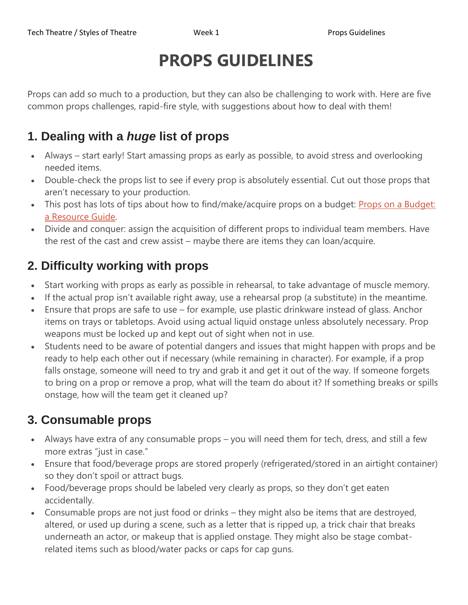# **PROPS GUIDELINES**

Props can add so much to a production, but they can also be challenging to work with. Here are five common props challenges, rapid-fire style, with suggestions about how to deal with them!

## **1. Dealing with a** *huge* **list of props**

- Always start early! Start amassing props as early as possible, to avoid stress and overlooking needed items.
- Double-check the props list to see if every prop is absolutely essential. Cut out those props that aren't necessary to your production.
- This post has lots of tips about how to find/make/acquire props on a budget: Props on a [Budget:](https://www.theatrefolk.com/blog/props-budget-resource-guide/) a [Resource](https://www.theatrefolk.com/blog/props-budget-resource-guide/) Guide.
- Divide and conquer: assign the acquisition of different props to individual team members. Have the rest of the cast and crew assist – maybe there are items they can loan/acquire.

## **2. Difficulty working with props**

- Start working with props as early as possible in rehearsal, to take advantage of muscle memory.
- If the actual prop isn't available right away, use a rehearsal prop (a substitute) in the meantime.
- Ensure that props are safe to use for example, use plastic drinkware instead of glass. Anchor items on trays or tabletops. Avoid using actual liquid onstage unless absolutely necessary. Prop weapons must be locked up and kept out of sight when not in use.
- Students need to be aware of potential dangers and issues that might happen with props and be ready to help each other out if necessary (while remaining in character). For example, if a prop falls onstage, someone will need to try and grab it and get it out of the way. If someone forgets to bring on a prop or remove a prop, what will the team do about it? If something breaks or spills onstage, how will the team get it cleaned up?

# **3. Consumable props**

- Always have extra of any consumable props you will need them for tech, dress, and still a few more extras "just in case."
- Ensure that food/beverage props are stored properly (refrigerated/stored in an airtight container) so they don't spoil or attract bugs.
- Food/beverage props should be labeled very clearly as props, so they don't get eaten accidentally.
- Consumable props are not just food or drinks they might also be items that are destroyed, altered, or used up during a scene, such as a letter that is ripped up, a trick chair that breaks underneath an actor, or makeup that is applied onstage. They might also be stage combatrelated items such as blood/water packs or caps for cap guns.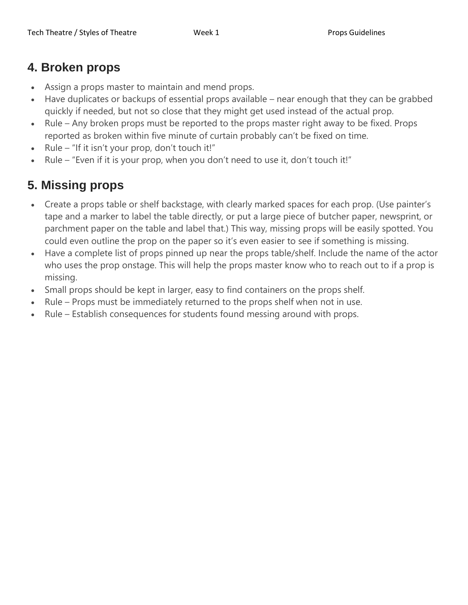#### **4. Broken props**

- Assign a props master to maintain and mend props.
- Have duplicates or backups of essential props available near enough that they can be grabbed quickly if needed, but not so close that they might get used instead of the actual prop.
- Rule Any broken props must be reported to the props master right away to be fixed. Props reported as broken within five minute of curtain probably can't be fixed on time.
- Rule "If it isn't your prop, don't touch it!"
- Rule "Even if it is your prop, when you don't need to use it, don't touch it!"

# **5. Missing props**

- Create a props table or shelf backstage, with clearly marked spaces for each prop. (Use painter's tape and a marker to label the table directly, or put a large piece of butcher paper, newsprint, or parchment paper on the table and label that.) This way, missing props will be easily spotted. You could even outline the prop on the paper so it's even easier to see if something is missing.
- Have a complete list of props pinned up near the props table/shelf. Include the name of the actor who uses the prop onstage. This will help the props master know who to reach out to if a prop is missing.
- Small props should be kept in larger, easy to find containers on the props shelf.
- Rule Props must be immediately returned to the props shelf when not in use.
- Rule Establish consequences for students found messing around with props.